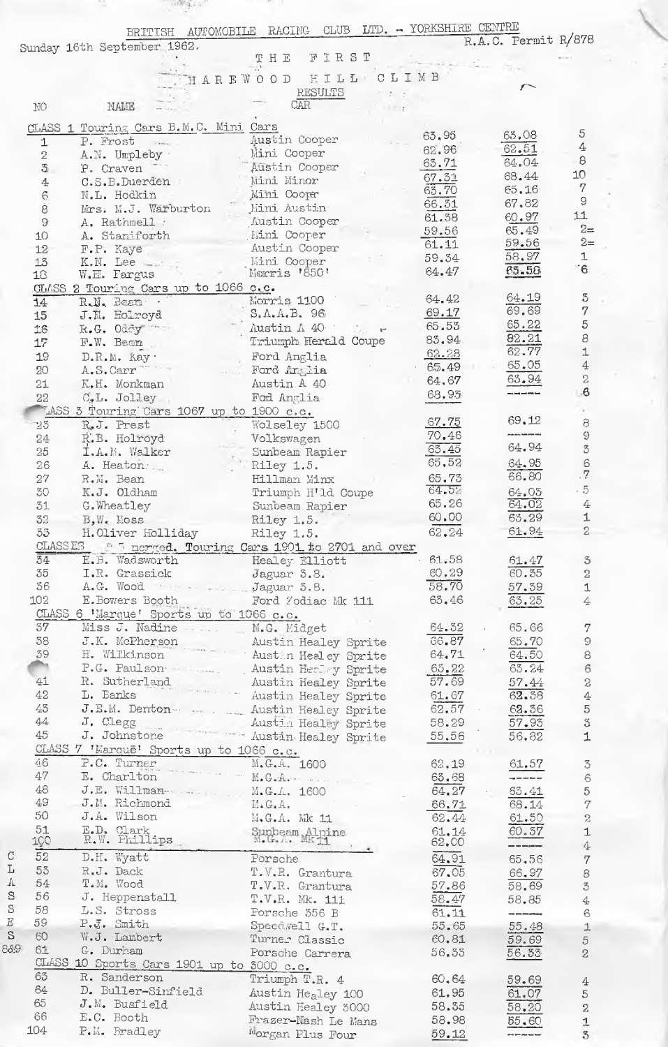|                 | BRITISH<br>Sunday 16th September 1962.                                  | CLUB LTD. - YORKSHIRE CENTRE<br>AUTOMOBILE RACING<br>FIRST<br>$\mathbbm{T}$ H $\mathbbm{E}$ |                    | R.A.C. Permit R/878                                                                                                                                                                                                                                                                                                                                                                                                                                                        |              |
|-----------------|-------------------------------------------------------------------------|---------------------------------------------------------------------------------------------|--------------------|----------------------------------------------------------------------------------------------------------------------------------------------------------------------------------------------------------------------------------------------------------------------------------------------------------------------------------------------------------------------------------------------------------------------------------------------------------------------------|--------------|
|                 |                                                                         | HILL<br>HAREWOOD                                                                            | CLIMB              |                                                                                                                                                                                                                                                                                                                                                                                                                                                                            |              |
|                 |                                                                         | RESULTS                                                                                     |                    |                                                                                                                                                                                                                                                                                                                                                                                                                                                                            |              |
| $\rm NO$        | NAME                                                                    | <b>CAR</b>                                                                                  |                    |                                                                                                                                                                                                                                                                                                                                                                                                                                                                            |              |
|                 | CLASS 1 Touring Cars B.M.C. Mini Cars                                   |                                                                                             |                    |                                                                                                                                                                                                                                                                                                                                                                                                                                                                            |              |
| $\mathbf{1}$    | P. Frost<br>$\sim$                                                      | Austin Cooper                                                                               | 63,95              | 63.08                                                                                                                                                                                                                                                                                                                                                                                                                                                                      | 5            |
| $\,2$           | A.N. Umpleby                                                            | Mini Cooper                                                                                 | 62.96              | 62.51                                                                                                                                                                                                                                                                                                                                                                                                                                                                      | $\rm 4$<br>8 |
| $\mathfrak{F}$  | P. Craven                                                               | Austin Cooper                                                                               | 63.71              | 64.04                                                                                                                                                                                                                                                                                                                                                                                                                                                                      | 10           |
| 4               | C.S.B.Duerden                                                           | Mini Minor                                                                                  | 67.31              | 68.44                                                                                                                                                                                                                                                                                                                                                                                                                                                                      | 7            |
| 6               | N.L. Hodkin                                                             | Mîni Cooper                                                                                 | 63.70<br>66.51     | 65.16<br>67.82                                                                                                                                                                                                                                                                                                                                                                                                                                                             | 9            |
| 8               | Mrs. M.J. Warburton                                                     | Mini Austin                                                                                 | 61.38              | 60,97                                                                                                                                                                                                                                                                                                                                                                                                                                                                      | 11           |
| $9\,$           | A. Rathmell :                                                           | Austin Cooper                                                                               | 59.56              | 65.49                                                                                                                                                                                                                                                                                                                                                                                                                                                                      | $2=$         |
| 10<br>12        | A. Staniforth<br>F.P. Kaye                                              | Mini Cooper<br>Austin Cooper                                                                | 61.11              | 59.56                                                                                                                                                                                                                                                                                                                                                                                                                                                                      | $2=$         |
| 13              | $K.N.$ Lee $\equiv$                                                     | <b>Mini Cooper</b>                                                                          | 59.34              | 58.97                                                                                                                                                                                                                                                                                                                                                                                                                                                                      |              |
| 18              | W.E. Fargus                                                             | Morris '850'                                                                                | 64.47              | 65.58                                                                                                                                                                                                                                                                                                                                                                                                                                                                      | $-6$         |
|                 | OLASS 2 Touring Cars up to 1066 c.c.                                    |                                                                                             |                    |                                                                                                                                                                                                                                                                                                                                                                                                                                                                            |              |
| 14              | R.N. Beam                                                               | Morris 1100                                                                                 | 64.42              | 64.19                                                                                                                                                                                                                                                                                                                                                                                                                                                                      |              |
| 15              | J.M. Holroyd                                                            | S.A.A.B. 96                                                                                 | 69.17              | 69.69                                                                                                                                                                                                                                                                                                                                                                                                                                                                      |              |
| 16              | R.G. Oddy                                                               | Austin A 40<br>$\mathcal{L}_{\text{max}}$ and                                               | 65.53              | 65.22                                                                                                                                                                                                                                                                                                                                                                                                                                                                      |              |
| 17              | F.W. Beam                                                               | Triumph Herald Coupe                                                                        | 83.94              | 82.21<br>62.77                                                                                                                                                                                                                                                                                                                                                                                                                                                             |              |
| 19              | D.R.M. Kay                                                              | Ford Anglia                                                                                 | 62.28              | 65.05                                                                                                                                                                                                                                                                                                                                                                                                                                                                      |              |
| 20              | A.S.Carr                                                                | Ford Anglia                                                                                 | 6.5.49             | $63 - 94$                                                                                                                                                                                                                                                                                                                                                                                                                                                                  |              |
| 21              | K.H. Monkman                                                            | Austin A 40                                                                                 | 64.67<br>68.93     |                                                                                                                                                                                                                                                                                                                                                                                                                                                                            | $-6$         |
| 22              | C.L. Jolley                                                             | Fod Anglia                                                                                  |                    |                                                                                                                                                                                                                                                                                                                                                                                                                                                                            |              |
|                 | LASS 3 Touring Cars 1067 up to 1900 c.c.                                |                                                                                             | 67.75              | 69.12                                                                                                                                                                                                                                                                                                                                                                                                                                                                      |              |
| 25              | R.J. Prest                                                              | Wolseley 1500                                                                               | 70.46              |                                                                                                                                                                                                                                                                                                                                                                                                                                                                            |              |
| 24<br>25        | R.B. Holroyd<br>I.A.M. Walker                                           | Volkswagen<br>Sunbeam Rapier                                                                | 65.45              | 64.94                                                                                                                                                                                                                                                                                                                                                                                                                                                                      |              |
| 26              | A. Heaton.                                                              | Riley 1.5.                                                                                  | 65, 52             | 64.95                                                                                                                                                                                                                                                                                                                                                                                                                                                                      |              |
| 27              | R.M. Bean                                                               | Hillman Minx                                                                                | 65.73              | 66.80                                                                                                                                                                                                                                                                                                                                                                                                                                                                      | . $7$        |
| 30              | K.J. Oldham                                                             | Triumph H'ld Coupe                                                                          | 64.52              | 64,05                                                                                                                                                                                                                                                                                                                                                                                                                                                                      | $-5$         |
| 31              | G. Wheatley                                                             | Sunbeam Rapier                                                                              | 65.26              | 64.02                                                                                                                                                                                                                                                                                                                                                                                                                                                                      |              |
|                 | 32 B, W. Moss Riley 1.5.                                                |                                                                                             | 60.00              | 63.29                                                                                                                                                                                                                                                                                                                                                                                                                                                                      |              |
|                 | 55 H.Oliver Holliday Riley 1.5.                                         |                                                                                             | 62.24              | 61.94                                                                                                                                                                                                                                                                                                                                                                                                                                                                      |              |
|                 |                                                                         | CLASSES 8 5 nerged. Touring Cars 1901 to 2701 and over                                      |                    |                                                                                                                                                                                                                                                                                                                                                                                                                                                                            |              |
| $\overline{34}$ | E.B. Wadsworth Healey Elliott                                           |                                                                                             | 61.58              | 61.47<br>60.35                                                                                                                                                                                                                                                                                                                                                                                                                                                             |              |
| 35<br>$36 -$    | I.R. Grassick<br>A.G. Wood - - - Jaguar 3.8.                            | Jaguar 5.8.                                                                                 | 60.29<br>58.70     |                                                                                                                                                                                                                                                                                                                                                                                                                                                                            |              |
|                 | 102 E. Bowers Booth Ford Yodiac Mk 111                                  |                                                                                             | 65.46              | 57.39<br>63.25                                                                                                                                                                                                                                                                                                                                                                                                                                                             |              |
|                 | CLASS 6 'Marque' Sports up to 1066 c.c.                                 |                                                                                             |                    |                                                                                                                                                                                                                                                                                                                                                                                                                                                                            |              |
| 37              | Miss J. Nadine  M.G. Midget                                             |                                                                                             | 64.32              | 65.66                                                                                                                                                                                                                                                                                                                                                                                                                                                                      |              |
| 38              |                                                                         | J.K. McPherson Ausumnoadeg Sprite                                                           | 66.87              | 65.70                                                                                                                                                                                                                                                                                                                                                                                                                                                                      |              |
| 39              |                                                                         |                                                                                             | 64.71              | 64.50                                                                                                                                                                                                                                                                                                                                                                                                                                                                      |              |
|                 |                                                                         | P.G. Paulson Manuel Austin Heeley Sprite                                                    | 65.22              | 63.24                                                                                                                                                                                                                                                                                                                                                                                                                                                                      |              |
| 41              |                                                                         |                                                                                             | 57.69              | 57.44                                                                                                                                                                                                                                                                                                                                                                                                                                                                      |              |
| 42 —            |                                                                         | R. Sutherland Musulm means of the Austin Healey Sprite                                      | 61.67              | 62.38                                                                                                                                                                                                                                                                                                                                                                                                                                                                      |              |
| 43              |                                                                         | J.E.M. Denton  Austin Healey Sprite                                                         |                    | $62.57$ $62.36$                                                                                                                                                                                                                                                                                                                                                                                                                                                            |              |
| 44              | J. Clegg                                                                | Austin Healey Sprite                                                                        | 58.29              | 57.93                                                                                                                                                                                                                                                                                                                                                                                                                                                                      |              |
| 45              | J. Johnstone                                                            | Austin Healey Sprite                                                                        | 55,56              | 56.82                                                                                                                                                                                                                                                                                                                                                                                                                                                                      |              |
| 46              | CLASS 7 'Marque' Sports up to 1066 c.c.                                 |                                                                                             |                    |                                                                                                                                                                                                                                                                                                                                                                                                                                                                            |              |
| 47 —            | P.C. Turner<br>P.C. Turner<br>P.C. Turner<br>P.C. Turner<br>P.C. Turner |                                                                                             | 62.19<br>63.68     | 61.57<br><u> TITT</u>                                                                                                                                                                                                                                                                                                                                                                                                                                                      |              |
| 48              | J.E. Willman-                                                           | M.G.A. 1600                                                                                 | 64,27              | 63.41                                                                                                                                                                                                                                                                                                                                                                                                                                                                      |              |
| $49 -$          | J.M. Richmond                                                           | $M_{\bullet} G_{\bullet} A_{\bullet}$                                                       | 66.71              | 68.14                                                                                                                                                                                                                                                                                                                                                                                                                                                                      |              |
| 50              | J.A. Wilson                                                             | M.G.A. Mk 11                                                                                | 62.44              | 61.50                                                                                                                                                                                                                                                                                                                                                                                                                                                                      |              |
| 51              | E.D. Clark<br>R.W. Phillips                                             | Sunbeam Alpine                                                                              |                    | 60.57                                                                                                                                                                                                                                                                                                                                                                                                                                                                      |              |
| 100             |                                                                         |                                                                                             | $61.14$<br>$62.00$ | $\frac{1}{2} \left( \frac{1}{2} \right) \left( \frac{1}{2} \right) \left( \frac{1}{2} \right) \left( \frac{1}{2} \right) \left( \frac{1}{2} \right) \left( \frac{1}{2} \right) \left( \frac{1}{2} \right) \left( \frac{1}{2} \right) \left( \frac{1}{2} \right) \left( \frac{1}{2} \right) \left( \frac{1}{2} \right) \left( \frac{1}{2} \right) \left( \frac{1}{2} \right) \left( \frac{1}{2} \right) \left( \frac{1}{2} \right) \left( \frac{1}{2} \right) \left( \frac$ |              |
| 52              | D.H. Wyatt                                                              | Porsche                                                                                     | 64.91              | 65.56                                                                                                                                                                                                                                                                                                                                                                                                                                                                      |              |
| 53              | R.J. Dack                                                               | T.V.R. Grantura                                                                             | 67.05              | 66.97                                                                                                                                                                                                                                                                                                                                                                                                                                                                      |              |
| 54              | T.M. Wood                                                               | T.V.R. Grantura                                                                             | 57.86              | 58.69                                                                                                                                                                                                                                                                                                                                                                                                                                                                      |              |
| 56<br>58        | J. Heppenstall                                                          | T.V.R. Mk. 111                                                                              | 58.47              | 58.85                                                                                                                                                                                                                                                                                                                                                                                                                                                                      |              |
| 59              | L.S. Stross<br>P.J. Smith                                               | Porsche 356 B                                                                               | 61.11              | $\frac{1}{2}$                                                                                                                                                                                                                                                                                                                                                                                                                                                              |              |
| 60              | W.J. Lambert                                                            | Speedwell G.T.                                                                              | $55 - 65$<br>60.81 | 55.48                                                                                                                                                                                                                                                                                                                                                                                                                                                                      |              |
| 61              | G. Durham                                                               | Turner Classic<br>Porsche Carrera                                                           |                    | 59.69<br>56.33                                                                                                                                                                                                                                                                                                                                                                                                                                                             |              |
|                 | CLASS 10 Sports Cars 1901 up to 3000 c.c.                               |                                                                                             | 56.35              |                                                                                                                                                                                                                                                                                                                                                                                                                                                                            |              |
| 63              | R. Sanderson                                                            | Triumph T.R. 4                                                                              | 60.64              | 59.69                                                                                                                                                                                                                                                                                                                                                                                                                                                                      |              |
| 64 64           | D. Buller-Sinfield                                                      | Austin Healey 100                                                                           | 61.95              | 61.07                                                                                                                                                                                                                                                                                                                                                                                                                                                                      |              |
| 65              | J.M. Busfield                                                           | Austin Healey 3000                                                                          | 58.35              | 58.20                                                                                                                                                                                                                                                                                                                                                                                                                                                                      |              |
| 66              | E.C. Booth                                                              | Frazer-Nash Le Mans                                                                         | 58.98              | 55.60                                                                                                                                                                                                                                                                                                                                                                                                                                                                      |              |
| 104             | P.M. Bradley                                                            | Morgan Plus Four                                                                            | 59.12              | وبالمساحين بالمواويد                                                                                                                                                                                                                                                                                                                                                                                                                                                       |              |